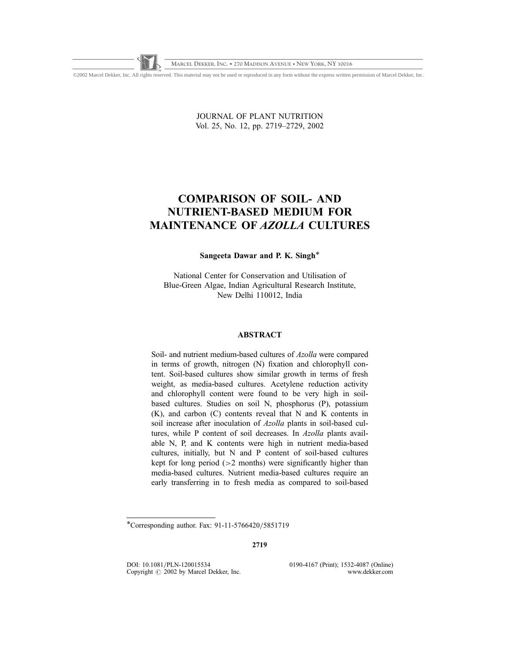©2002 Marcel Dekker, Inc. All rights reserved. This material may not be used or reproduced in any form without the express written permission of Marcel Dekker, Inc.

JOURNAL OF PLANT NUTRITION Vol. 25, No. 12, pp. 2719–2729, 2002

# COMPARISON OF SOIL- AND NUTRIENT-BASED MEDIUM FOR MAINTENANCE OF AZOLLA CULTURES

Sangeeta Dawar and P. K. Singh\*

National Center for Conservation and Utilisation of Blue-Green Algae, Indian Agricultural Research Institute, New Delhi 110012, India

# ABSTRACT

Soil- and nutrient medium-based cultures of Azolla were compared in terms of growth, nitrogen (N) fixation and chlorophyll content. Soil-based cultures show similar growth in terms of fresh weight, as media-based cultures. Acetylene reduction activity and chlorophyll content were found to be very high in soilbased cultures. Studies on soil N, phosphorus (P), potassium (K), and carbon (C) contents reveal that N and K contents in soil increase after inoculation of Azolla plants in soil-based cultures, while P content of soil decreases. In Azolla plants available N, P, and K contents were high in nutrient media-based cultures, initially, but N and P content of soil-based cultures kept for long period (>2 months) were significantly higher than media-based cultures. Nutrient media-based cultures require an early transferring in to fresh media as compared to soil-based

2719

DOI: 10.1081/PLN-120015534 0190-4167 (Print); 1532-4087 (Online)<br>Copyright © 2002 by Marcel Dekker. Inc. www.dekker.com Copyright  $\odot$  2002 by Marcel Dekker, Inc.

<sup>\*</sup>Corresponding author. Fax: 91-11-5766420/5851719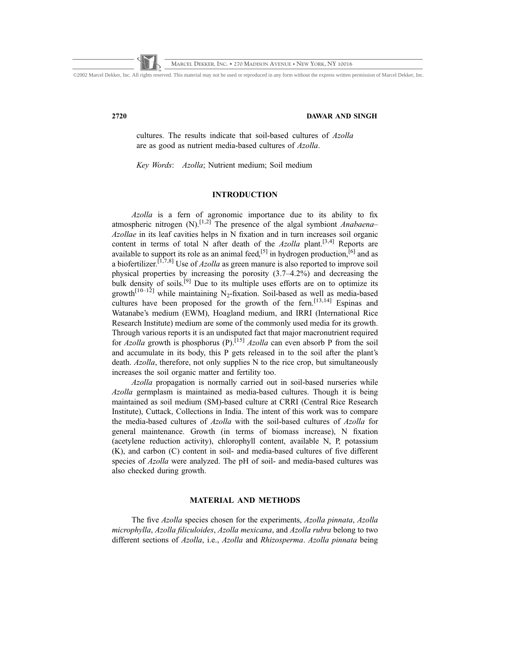©2002 Marcel Dekker, Inc. All rights reserved. This material may not be used or reproduced in any form without the express written permission of Marcel Dekker, Inc.

### 2720 DAWAR AND SINGH

cultures. The results indicate that soil-based cultures of Azolla are as good as nutrient media-based cultures of Azolla.

Key Words: Azolla; Nutrient medium; Soil medium

# **INTRODUCTION**

Azolla is a fern of agronomic importance due to its ability to fix atmospheric nitrogen  $(N)$ .<sup>[1,2]</sup> The presence of the algal symbiont *Anabaena*– Azollae in its leaf cavities helps in N fixation and in turn increases soil organic content in terms of total N after death of the  $Azolla$  plant.<sup>[3,4]</sup> Reports are available to support its role as an animal feed,<sup>[5]</sup> in hydrogen production, ${}^{[6]}$  and as a biofertilizer.<sup>[1,7,8]</sup> Use of *Azolla* as green manure is also reported to improve soil physical properties by increasing the porosity (3.7–4.2%) and decreasing the bulk density of soils.<sup>[9]</sup> Due to its multiple uses efforts are on to optimize its growth<sup>[10–12]</sup> while maintaining N<sub>2</sub>-fixation. Soil-based as well as media-based cultures have been proposed for the growth of the fern.<sup>[13,14]</sup> Espinas and Watanabe's medium (EWM), Hoagland medium, and IRRI (International Rice Research Institute) medium are some of the commonly used media for its growth. Through various reports it is an undisputed fact that major macronutrient required for Azolla growth is phosphorus (P).<sup>[15]</sup> Azolla can even absorb P from the soil and accumulate in its body, this P gets released in to the soil after the plant's death. Azolla, therefore, not only supplies N to the rice crop, but simultaneously increases the soil organic matter and fertility too.

Azolla propagation is normally carried out in soil-based nurseries while Azolla germplasm is maintained as media-based cultures. Though it is being maintained as soil medium (SM)-based culture at CRRI (Central Rice Research Institute), Cuttack, Collections in India. The intent of this work was to compare the media-based cultures of Azolla with the soil-based cultures of Azolla for general maintenance. Growth (in terms of biomass increase), N fixation (acetylene reduction activity), chlorophyll content, available N, P, potassium (K), and carbon (C) content in soil- and media-based cultures of five different species of Azolla were analyzed. The pH of soil- and media-based cultures was also checked during growth.

# MATERIAL AND METHODS

The five Azolla species chosen for the experiments, Azolla pinnata, Azolla microphylla, Azolla filiculoides, Azolla mexicana, and Azolla rubra belong to two different sections of Azolla, i.e., Azolla and Rhizosperma. Azolla pinnata being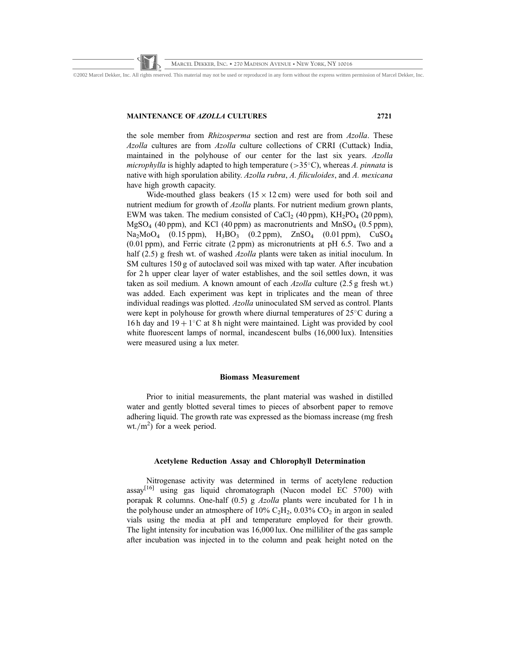©2002 Marcel Dekker, Inc. All rights reserved. This material may not be used or reproduced in any form without the express written permission of Marcel Dekker, Inc.

### MAINTENANCE OF AZOLLA CULTURES 2721

the sole member from Rhizosperma section and rest are from Azolla. These Azolla cultures are from Azolla culture collections of CRRI (Cuttack) India, maintained in the polyhouse of our center for the last six years. Azolla microphylla is highly adapted to high temperature ( $>35^{\circ}$ C), whereas A. pinnata is native with high sporulation ability. Azolla rubra, A. filiculoides, and A. mexicana have high growth capacity.

Wide-mouthed glass beakers  $(15 \times 12 \text{ cm})$  were used for both soil and nutrient medium for growth of Azolla plants. For nutrient medium grown plants, EWM was taken. The medium consisted of CaCl<sub>2</sub> (40 ppm), KH<sub>2</sub>PO<sub>4</sub> (20 ppm),  $MgSO_4$  (40 ppm), and KCl (40 ppm) as macronutrients and  $MnSO_4$  (0.5 ppm),  $Na<sub>2</sub>MoO<sub>4</sub>$  (0.15 ppm),  $H<sub>3</sub>BO<sub>3</sub>$  (0.2 ppm),  $ZnSO<sub>4</sub>$  (0.01 ppm),  $CuSO<sub>4</sub>$ (0.01 ppm), and Ferric citrate (2 ppm) as micronutrients at pH 6.5. Two and a half (2.5) g fresh wt. of washed *Azolla* plants were taken as initial inoculum. In SM cultures 150 g of autoclaved soil was mixed with tap water. After incubation for 2 h upper clear layer of water establishes, and the soil settles down, it was taken as soil medium. A known amount of each Azolla culture (2.5 g fresh wt.) was added. Each experiment was kept in triplicates and the mean of three individual readings was plotted. Azolla uninoculated SM served as control. Plants were kept in polyhouse for growth where diurnal temperatures of  $25^{\circ}$ C during a 16 h day and  $19 + 1^{\circ}$ C at 8 h night were maintained. Light was provided by cool white fluorescent lamps of normal, incandescent bulbs (16,000 lux). Intensities were measured using a lux meter.

# Biomass Measurement

Prior to initial measurements, the plant material was washed in distilled water and gently blotted several times to pieces of absorbent paper to remove adhering liquid. The growth rate was expressed as the biomass increase (mg fresh wt./ $m^2$ ) for a week period.

# Acetylene Reduction Assay and Chlorophyll Determination

Nitrogenase activity was determined in terms of acetylene reduction  $\text{assay}^{[16]}$  using gas liquid chromatograph (Nucon model EC 5700) with porapak R columns. One-half (0.5) g Azolla plants were incubated for 1 h in the polyhouse under an atmosphere of 10%  $C_2H_2$ , 0.03%  $CO_2$  in argon in sealed vials using the media at pH and temperature employed for their growth. The light intensity for incubation was 16,000 lux. One milliliter of the gas sample after incubation was injected in to the column and peak height noted on the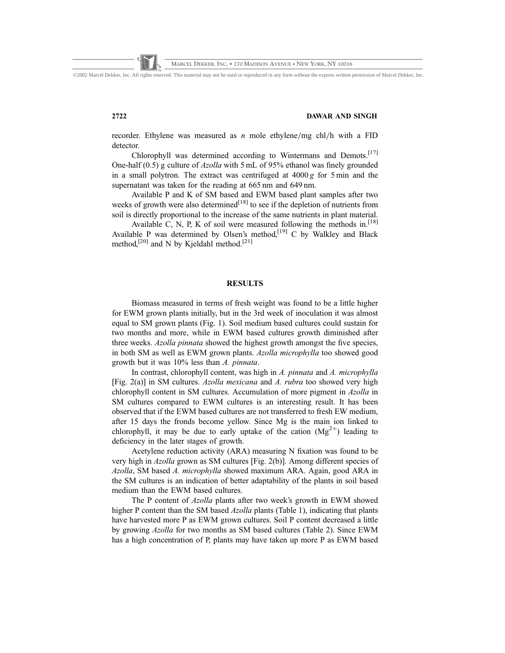©2002 Marcel Dekker, Inc. All rights reserved. This material may not be used or reproduced in any form without the express written permission of Marcel Dekker, Inc.

### 2722 DAWAR AND SINGH

recorder. Ethylene was measured as  $n$  mole ethylene/mg chl/h with a FID detector.

Chlorophyll was determined according to Wintermans and Demots.<sup>[17]</sup> One-half  $(0.5)$  g culture of *Azolla* with 5 mL of 95% ethanol was finely grounded in a small polytron. The extract was centrifuged at  $4000 g$  for 5 min and the supernatant was taken for the reading at 665 nm and 649 nm.

Available P and K of SM based and EWM based plant samples after two weeks of growth were also determined $\mathfrak{l}^{[18]}$  to see if the depletion of nutrients from soil is directly proportional to the increase of the same nutrients in plant material.

Available C, N, P, K of soil were measured following the methods in.<sup>[18]</sup> Available P was determined by Olsen's method,<sup>[19]</sup> C by Walkley and Black method,<sup>[20]</sup> and N by Kjeldahl method.<sup>[21]</sup>

# RESULTS

Biomass measured in terms of fresh weight was found to be a little higher for EWM grown plants initially, but in the 3rd week of inoculation it was almost equal to SM grown plants (Fig. 1). Soil medium based cultures could sustain for two months and more, while in EWM based cultures growth diminished after three weeks. Azolla pinnata showed the highest growth amongst the five species, in both SM as well as EWM grown plants. Azolla microphylla too showed good growth but it was 10% less than A. pinnata.

In contrast, chlorophyll content, was high in A. pinnata and A. microphylla [Fig. 2(a)] in SM cultures. Azolla mexicana and A. rubra too showed very high chlorophyll content in SM cultures. Accumulation of more pigment in Azolla in SM cultures compared to EWM cultures is an interesting result. It has been observed that if the EWM based cultures are not transferred to fresh EW medium, after 15 days the fronds become yellow. Since Mg is the main ion linked to chlorophyll, it may be due to early uptake of the cation  $(Mg^{2+})$  leading to deficiency in the later stages of growth.

Acetylene reduction activity (ARA) measuring N fixation was found to be very high in Azolla grown as SM cultures [Fig. 2(b)]. Among different species of Azolla, SM based A. microphylla showed maximum ARA. Again, good ARA in the SM cultures is an indication of better adaptability of the plants in soil based medium than the EWM based cultures.

The P content of *Azolla* plants after two week's growth in EWM showed higher P content than the SM based Azolla plants (Table 1), indicating that plants have harvested more P as EWM grown cultures. Soil P content decreased a little by growing Azolla for two months as SM based cultures (Table 2). Since EWM has a high concentration of P, plants may have taken up more P as EWM based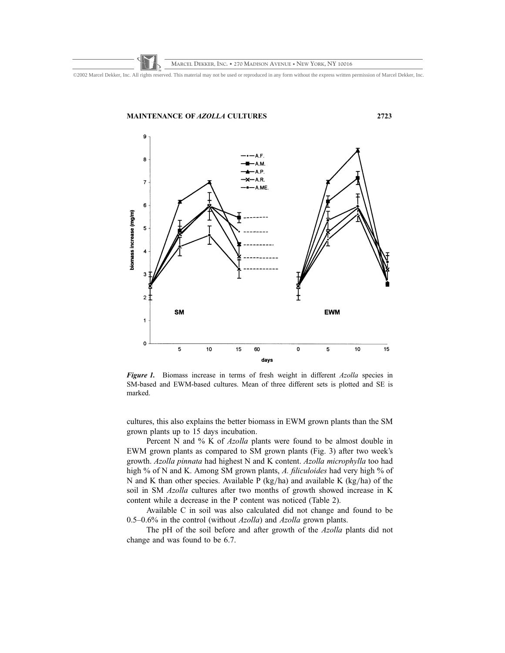©2002 Marcel Dekker, Inc. All rights reserved. This material may not be used or reproduced in any form without the express written permission of Marcel Dekker, Inc.



Figure 1. Biomass increase in terms of fresh weight in different Azolla species in SM-based and EWM-based cultures. Mean of three different sets is plotted and SE is marked.

cultures, this also explains the better biomass in EWM grown plants than the SM grown plants up to 15 days incubation.

Percent N and % K of *Azolla* plants were found to be almost double in EWM grown plants as compared to SM grown plants (Fig. 3) after two week's growth. Azolla pinnata had highest N and K content. Azolla microphylla too had high % of N and K. Among SM grown plants, A. filiculoides had very high % of N and K than other species. Available P (kg/ha) and available K (kg/ha) of the soil in SM Azolla cultures after two months of growth showed increase in K content while a decrease in the P content was noticed (Table 2).

Available C in soil was also calculated did not change and found to be 0.5–0.6% in the control (without  $Azolla$ ) and  $Azolla$  grown plants.

The pH of the soil before and after growth of the Azolla plants did not change and was found to be 6.7.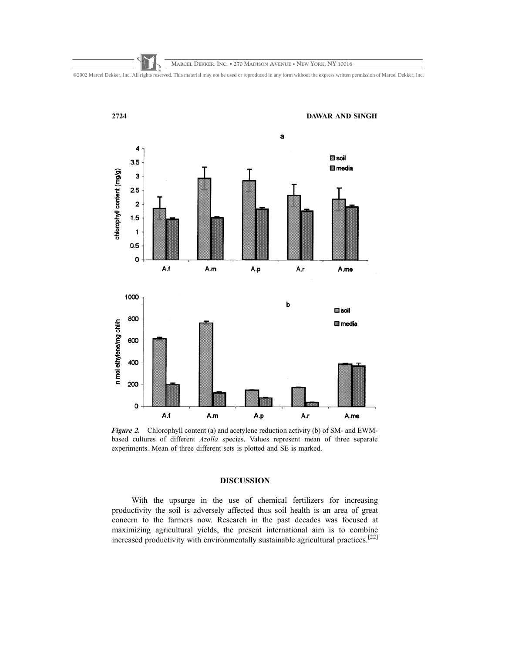©2002 Marcel Dekker, Inc. All rights reserved. This material may not be used or reproduced in any form without the express written permission of Marcel Dekker, Inc.



Figure 2. Chlorophyll content (a) and acetylene reduction activity (b) of SM- and EWMbased cultures of different Azolla species. Values represent mean of three separate experiments. Mean of three different sets is plotted and SE is marked.

# DISCUSSION

With the upsurge in the use of chemical fertilizers for increasing productivity the soil is adversely affected thus soil health is an area of great concern to the farmers now. Research in the past decades was focused at maximizing agricultural yields, the present international aim is to combine increased productivity with environmentally sustainable agricultural practices.[22]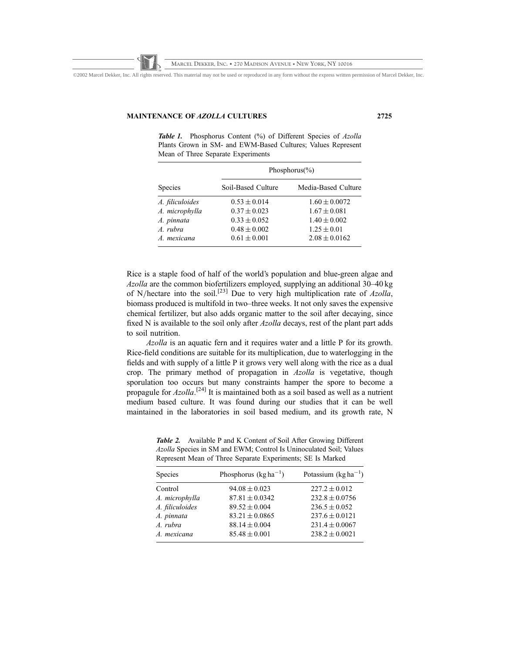©2002 Marcel Dekker, Inc. All rights reserved. This material may not be used or reproduced in any form without the express written permission of Marcel Dekker, Inc.

### MAINTENANCE OF AZOLLA CULTURES 2725

Table 1. Phosphorus Content (%) of Different Species of Azolla Plants Grown in SM- and EWM-Based Cultures; Values Represent Mean of Three Separate Experiments

| <b>Species</b>  | Phosphorus(%)      |                     |
|-----------------|--------------------|---------------------|
|                 | Soil-Based Culture | Media-Based Culture |
| A. filiculoides | $0.53 \pm 0.014$   | $1.60 \pm 0.0072$   |
| A. microphylla  | $0.37 \pm 0.023$   | $1.67 \pm 0.081$    |
| A. pinnata      | $0.33 \pm 0.052$   | $1.40 \pm 0.002$    |
| $A$ rubra       | $0.48 \pm 0.002$   | $1.25 \pm 0.01$     |
| A mexicana      | $0.61 \pm 0.001$   | $2.08 \pm 0.0162$   |

Rice is a staple food of half of the world's population and blue-green algae and Azolla are the common biofertilizers employed, supplying an additional 30–40 kg of N/hectare into the soil.<sup>[23]</sup> Due to very high multiplication rate of  $Azolla$ , biomass produced is multifold in two–three weeks. It not only saves the expensive chemical fertilizer, but also adds organic matter to the soil after decaying, since fixed N is available to the soil only after Azolla decays, rest of the plant part adds to soil nutrition.

Azolla is an aquatic fern and it requires water and a little P for its growth. Rice-field conditions are suitable for its multiplication, due to waterlogging in the fields and with supply of a little P it grows very well along with the rice as a dual crop. The primary method of propagation in Azolla is vegetative, though sporulation too occurs but many constraints hamper the spore to become a propagule for Azolla.<sup>[24]</sup> It is maintained both as a soil based as well as a nutrient medium based culture. It was found during our studies that it can be well maintained in the laboratories in soil based medium, and its growth rate, N

Table 2. Available P and K Content of Soil After Growing Different Azolla Species in SM and EWM; Control Is Uninoculated Soil; Values Represent Mean of Three Separate Experiments; SE Is Marked

| Phosphorus ( $\text{kg}$ ha <sup>-1</sup> )<br>Species    | Potassium $(kg ha^{-1})$ |
|-----------------------------------------------------------|--------------------------|
| $94.08 \pm 0.023$<br>Control<br>$227.2 \pm 0.012$         |                          |
| $87.81 \pm 0.0342$<br>A. microphylla                      | $232.8 \pm 0.0756$       |
| A. filiculoides<br>$89.52 \pm 0.004$<br>$236.5 \pm 0.052$ |                          |
| A. pinnata<br>$83.21 \pm 0.0865$                          | $237.6 \pm 0.0121$       |
| A. rubra<br>$88.14 \pm 0.004$                             | $231.4 \pm 0.0067$       |
| $85.48 \pm 0.001$<br>A. mexicana                          | $238.2 \pm 0.0021$       |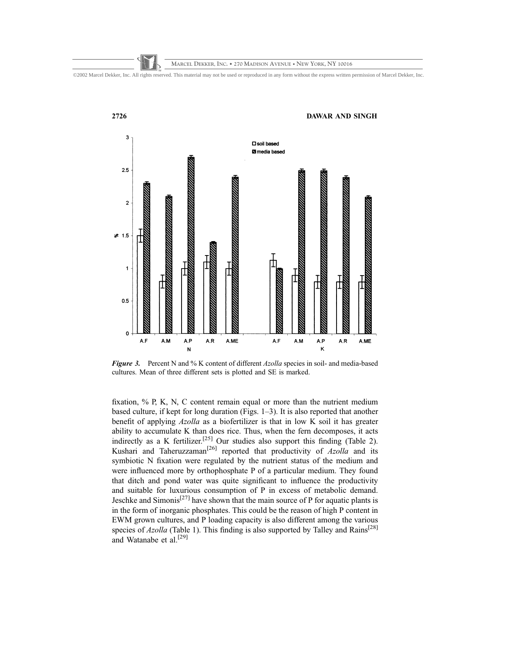



Figure 3. Percent N and % K content of different Azolla species in soil- and media-based cultures. Mean of three different sets is plotted and SE is marked.

fixation, % P, K, N, C content remain equal or more than the nutrient medium based culture, if kept for long duration (Figs. 1–3). It is also reported that another benefit of applying Azolla as a biofertilizer is that in low K soil it has greater ability to accumulate K than does rice. Thus, when the fern decomposes, it acts indirectly as a K fertilizer.<sup>[25]</sup> Our studies also support this finding (Table 2). Kushari and Taheruzzaman<sup>[26]</sup> reported that productivity of  $Azolla$  and its symbiotic N fixation were regulated by the nutrient status of the medium and were influenced more by orthophosphate P of a particular medium. They found that ditch and pond water was quite significant to influence the productivity and suitable for luxurious consumption of P in excess of metabolic demand. Jeschke and Simonis<sup>[27]</sup> have shown that the main source of P for aquatic plants is in the form of inorganic phosphates. This could be the reason of high P content in EWM grown cultures, and P loading capacity is also different among the various species of  $Azolla$  (Table 1). This finding is also supported by Talley and Rains<sup>[28]</sup> and Watanabe et al.[29]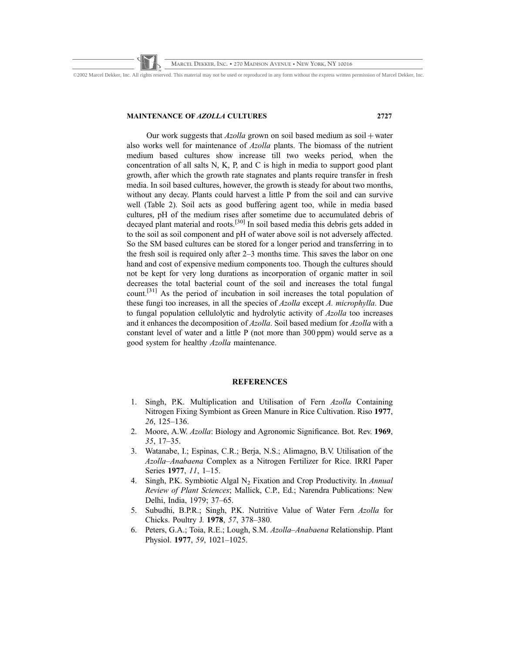©2002 Marcel Dekker, Inc. All rights reserved. This material may not be used or reproduced in any form without the express written permission of Marcel Dekker, Inc.

### MAINTENANCE OF AZOLLA CULTURES 2727

Our work suggests that  $Azolla$  grown on soil based medium as soil  $+$  water also works well for maintenance of Azolla plants. The biomass of the nutrient medium based cultures show increase till two weeks period, when the concentration of all salts N, K, P, and C is high in media to support good plant growth, after which the growth rate stagnates and plants require transfer in fresh media. In soil based cultures, however, the growth is steady for about two months, without any decay. Plants could harvest a little P from the soil and can survive well (Table 2). Soil acts as good buffering agent too, while in media based cultures, pH of the medium rises after sometime due to accumulated debris of decayed plant material and roots.[30] In soil based media this debris gets added in to the soil as soil component and pH of water above soil is not adversely affected. So the SM based cultures can be stored for a longer period and transferring in to the fresh soil is required only after 2–3 months time. This saves the labor on one hand and cost of expensive medium components too. Though the cultures should not be kept for very long durations as incorporation of organic matter in soil decreases the total bacterial count of the soil and increases the total fungal count.[31] As the period of incubation in soil increases the total population of these fungi too increases, in all the species of Azolla except A. microphylla. Due to fungal population cellulolytic and hydrolytic activity of Azolla too increases and it enhances the decomposition of Azolla. Soil based medium for Azolla with a constant level of water and a little P (not more than 300 ppm) would serve as a good system for healthy Azolla maintenance.

# **REFERENCES**

- 1. Singh, P.K. Multiplication and Utilisation of Fern Azolla Containing Nitrogen Fixing Symbiont as Green Manure in Rice Cultivation. Riso 1977, 26, 125–136.
- 2. Moore, A.W. Azolla: Biology and Agronomic Significance. Bot. Rev. 1969, 35, 17–35.
- 3. Watanabe, I.; Espinas, C.R.; Berja, N.S.; Alimagno, B.V. Utilisation of the Azolla–Anabaena Complex as a Nitrogen Fertilizer for Rice. IRRI Paper Series 1977, 11, 1–15.
- 4. Singh, P.K. Symbiotic Algal  $N<sub>2</sub>$  Fixation and Crop Productivity. In Annual Review of Plant Sciences; Mallick, C.P., Ed.; Narendra Publications: New Delhi, India, 1979; 37–65.
- 5. Subudhi, B.P.R.; Singh, P.K. Nutritive Value of Water Fern Azolla for Chicks. Poultry J. 1978, 57, 378–380.
- 6. Peters, G.A.; Toia, R.E.; Lough, S.M. Azolla–Anabaena Relationship. Plant Physiol. 1977, 59, 1021–1025.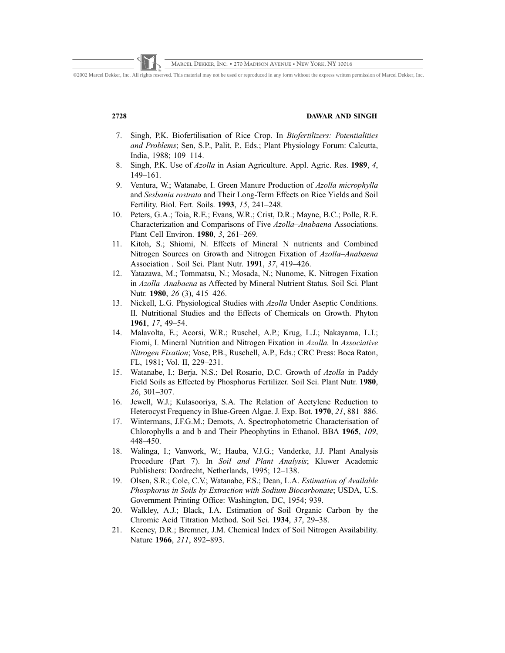©2002 Marcel Dekker, Inc. All rights reserved. This material may not be used or reproduced in any form without the express written permission of Marcel Dekker, Inc.

## 2728 DAWAR AND SINGH

- 7. Singh, P.K. Biofertilisation of Rice Crop. In Biofertilizers: Potentialities and Problems; Sen, S.P., Palit, P., Eds.; Plant Physiology Forum: Calcutta, India, 1988; 109–114.
- 8. Singh, P.K. Use of *Azolla* in Asian Agriculture. Appl. Agric. Res. 1989, 4, 149–161.
- 9. Ventura, W.; Watanabe, I. Green Manure Production of Azolla microphylla and Sesbania rostrata and Their Long-Term Effects on Rice Yields and Soil Fertility. Biol. Fert. Soils. 1993, 15, 241–248.
- 10. Peters, G.A.; Toia, R.E.; Evans, W.R.; Crist, D.R.; Mayne, B.C.; Polle, R.E. Characterization and Comparisons of Five Azolla–Anabaena Associations. Plant Cell Environ. 1980, 3, 261–269.
- 11. Kitoh, S.; Shiomi, N. Effects of Mineral N nutrients and Combined Nitrogen Sources on Growth and Nitrogen Fixation of Azolla–Anabaena Association . Soil Sci. Plant Nutr. 1991, 37, 419–426.
- 12. Yatazawa, M.; Tommatsu, N.; Mosada, N.; Nunome, K. Nitrogen Fixation in Azolla–Anabaena as Affected by Mineral Nutrient Status. Soil Sci. Plant Nutr. 1980, 26 (3), 415–426.
- 13. Nickell, L.G. Physiological Studies with Azolla Under Aseptic Conditions. II. Nutritional Studies and the Effects of Chemicals on Growth. Phyton 1961, 17, 49–54.
- 14. Malavolta, E.; Acorsi, W.R.; Ruschel, A.P.; Krug, L.J.; Nakayama, L.I.; Fiomi, I. Mineral Nutrition and Nitrogen Fixation in Azolla. In Associative Nitrogen Fixation; Vose, P.B., Ruschell, A.P., Eds.; CRC Press: Boca Raton, FL, 1981; Vol. II, 229–231.
- 15. Watanabe, I.; Berja, N.S.; Del Rosario, D.C. Growth of Azolla in Paddy Field Soils as Effected by Phosphorus Fertilizer. Soil Sci. Plant Nutr. 1980, 26, 301–307.
- 16. Jewell, W.J.; Kulasooriya, S.A. The Relation of Acetylene Reduction to Heterocyst Frequency in Blue-Green Algae. J. Exp. Bot. 1970, 21, 881–886.
- 17. Wintermans, J.F.G.M.; Demots, A. Spectrophotometric Characterisation of Chlorophylls a and b and Their Pheophytins in Ethanol. BBA 1965, 109, 448–450.
- 18. Walinga, I.; Vanwork, W.; Hauba, V.J.G.; Vanderke, J.J. Plant Analysis Procedure (Part 7). In Soil and Plant Analysis; Kluwer Academic Publishers: Dordrecht, Netherlands, 1995; 12–138.
- 19. Olsen, S.R.; Cole, C.V.; Watanabe, F.S.; Dean, L.A. Estimation of Available Phosphorus in Soils by Extraction with Sodium Biocarbonate; USDA, U.S. Government Printing Office: Washington, DC, 1954; 939.
- 20. Walkley, A.J.; Black, I.A. Estimation of Soil Organic Carbon by the Chromic Acid Titration Method. Soil Sci. 1934, 37, 29–38.
- 21. Keeney, D.R.; Bremner, J.M. Chemical Index of Soil Nitrogen Availability. Nature 1966, 211, 892–893.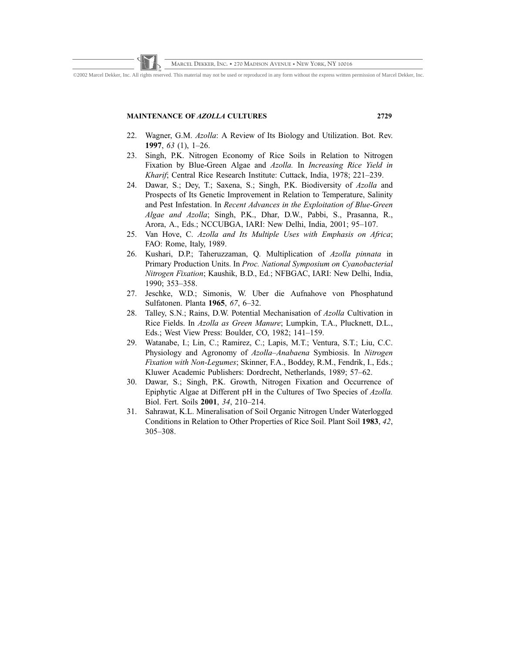©2002 Marcel Dekker, Inc. All rights reserved. This material may not be used or reproduced in any form without the express written permission of Marcel Dekker, Inc.

# MAINTENANCE OF AZOLLA CULTURES 2729

- 22. Wagner, G.M. Azolla: A Review of Its Biology and Utilization. Bot. Rev. 1997, 63 (1), 1–26.
- 23. Singh, P.K. Nitrogen Economy of Rice Soils in Relation to Nitrogen Fixation by Blue-Green Algae and Azolla. In Increasing Rice Yield in Kharif; Central Rice Research Institute: Cuttack, India, 1978; 221–239.
- 24. Dawar, S.; Dey, T.; Saxena, S.; Singh, P.K. Biodiversity of Azolla and Prospects of Its Genetic Improvement in Relation to Temperature, Salinity and Pest Infestation. In Recent Advances in the Exploitation of Blue-Green Algae and Azolla; Singh, P.K., Dhar, D.W., Pabbi, S., Prasanna, R., Arora, A., Eds.; NCCUBGA, IARI: New Delhi, India, 2001; 95–107.
- 25. Van Hove, C. Azolla and Its Multiple Uses with Emphasis on Africa; FAO: Rome, Italy, 1989.
- 26. Kushari, D.P.; Taheruzzaman, Q. Multiplication of Azolla pinnata in Primary Production Units. In Proc. National Symposium on Cyanobacterial Nitrogen Fixation; Kaushik, B.D., Ed.; NFBGAC, IARI: New Delhi, India, 1990; 353–358.
- 27. Jeschke, W.D.; Simonis, W. Uber die Aufnahove von Phosphatund Sulfatonen. Planta 1965, 67, 6–32.
- 28. Talley, S.N.; Rains, D.W. Potential Mechanisation of Azolla Cultivation in Rice Fields. In Azolla as Green Manure; Lumpkin, T.A., Plucknett, D.L., Eds.; West View Press: Boulder, CO, 1982; 141–159.
- 29. Watanabe, I.; Lin, C.; Ramirez, C.; Lapis, M.T.; Ventura, S.T.; Liu, C.C. Physiology and Agronomy of Azolla–Anabaena Symbiosis. In Nitrogen Fixation with Non-Legumes; Skinner, F.A., Boddey, R.M., Fendrik, I., Eds.; Kluwer Academic Publishers: Dordrecht, Netherlands, 1989; 57–62.
- 30. Dawar, S.; Singh, P.K. Growth, Nitrogen Fixation and Occurrence of Epiphytic Algae at Different pH in the Cultures of Two Species of Azolla. Biol. Fert. Soils 2001, 34, 210–214.
- 31. Sahrawat, K.L. Mineralisation of Soil Organic Nitrogen Under Waterlogged Conditions in Relation to Other Properties of Rice Soil. Plant Soil 1983, 42, 305–308.